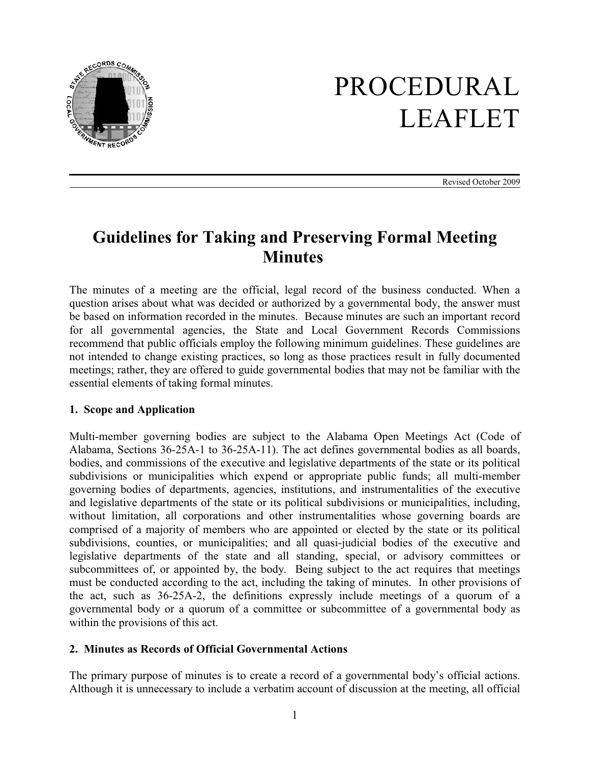

# PROCEDURAL LEAFLET

Revised October 2009

# **Guidelines for Taking and Preserving Formal Meeting Minutes**

The minutes of a meeting are the official, legal record of the business conducted. When a question arises about what was decided or authorized by a governmental body, the answer must be based on information recorded in the minutes. Because minutes are such an important record for all governmental agencies, the State and Local Government Records Commissions recommend that public officials employ the following minimum guidelines. These guidelines are not intended to change existing practices, so long as those practices result in fully documented meetings; rather, they are offered to guide governmental bodies that may not be familiar with the essential elements of taking formal minutes.

#### **1. Scope and Application**

Multi-member governing bodies are subject to the Alabama Open Meetings Act (Code of Alabama, Sections 36-25A-1 to 36-25A-11). The act defines governmental bodies as all boards, bodies, and commissions of the executive and legislative departments of the state or its political subdivisions or municipalities which expend or appropriate public funds; all multi-member governing bodies of departments, agencies, institutions, and instrumentalities of the executive and legislative departments of the state or its political subdivisions or municipalities, including, without limitation, all corporations and other instrumentalities whose governing boards are comprised of a majority of members who are appointed or elected by the state or its political subdivisions, counties, or municipalities; and all quasi-judicial bodies of the executive and legislative departments of the state and all standing, special, or advisory committees or subcommittees of, or appointed by, the body. Being subject to the act requires that meetings must be conducted according to the act, including the taking of minutes. In other provisions of the act, such as 36-25A-2, the definitions expressly include meetings of a quorum of a governmental body or a quorum of a committee or subcommittee of a governmental body as within the provisions of this act.

# **2. Minutes as Records of Official Governmental Actions**

The primary purpose of minutes is to create a record of a governmental body's official actions. Although it is unnecessary to include a verbatim account of discussion at the meeting, all official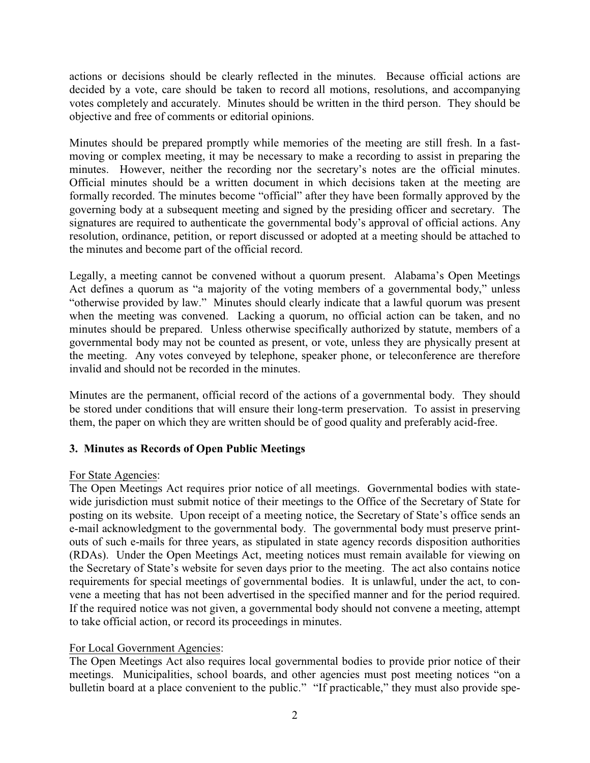actions or decisions should be clearly reflected in the minutes. Because official actions are decided by a vote, care should be taken to record all motions, resolutions, and accompanying votes completely and accurately. Minutes should be written in the third person. They should be objective and free of comments or editorial opinions.

Minutes should be prepared promptly while memories of the meeting are still fresh. In a fastmoving or complex meeting, it may be necessary to make a recording to assist in preparing the minutes. However, neither the recording nor the secretary's notes are the official minutes. Official minutes should be a written document in which decisions taken at the meeting are formally recorded. The minutes become "official" after they have been formally approved by the governing body at a subsequent meeting and signed by the presiding officer and secretary. The signatures are required to authenticate the governmental body's approval of official actions. Any resolution, ordinance, petition, or report discussed or adopted at a meeting should be attached to the minutes and become part of the official record.

Legally, a meeting cannot be convened without a quorum present. Alabama's Open Meetings Act defines a quorum as "a majority of the voting members of a governmental body," unless "otherwise provided by law." Minutes should clearly indicate that a lawful quorum was present when the meeting was convened. Lacking a quorum, no official action can be taken, and no minutes should be prepared. Unless otherwise specifically authorized by statute, members of a governmental body may not be counted as present, or vote, unless they are physically present at the meeting. Any votes conveyed by telephone, speaker phone, or teleconference are therefore invalid and should not be recorded in the minutes.

Minutes are the permanent, official record of the actions of a governmental body. They should be stored under conditions that will ensure their long-term preservation. To assist in preserving them, the paper on which they are written should be of good quality and preferably acid-free.

# **3. Minutes as Records of Open Public Meetings**

#### For State Agencies:

The Open Meetings Act requires prior notice of all meetings. Governmental bodies with statewide jurisdiction must submit notice of their meetings to the Office of the Secretary of State for posting on its website. Upon receipt of a meeting notice, the Secretary of State's office sends an e-mail acknowledgment to the governmental body. The governmental body must preserve printouts of such e-mails for three years, as stipulated in state agency records disposition authorities (RDAs). Under the Open Meetings Act, meeting notices must remain available for viewing on the Secretary of State's website for seven days prior to the meeting. The act also contains notice requirements for special meetings of governmental bodies. It is unlawful, under the act, to convene a meeting that has not been advertised in the specified manner and for the period required. If the required notice was not given, a governmental body should not convene a meeting, attempt to take official action, or record its proceedings in minutes.

#### For Local Government Agencies:

The Open Meetings Act also requires local governmental bodies to provide prior notice of their meetings. Municipalities, school boards, and other agencies must post meeting notices "on a bulletin board at a place convenient to the public." "If practicable," they must also provide spe-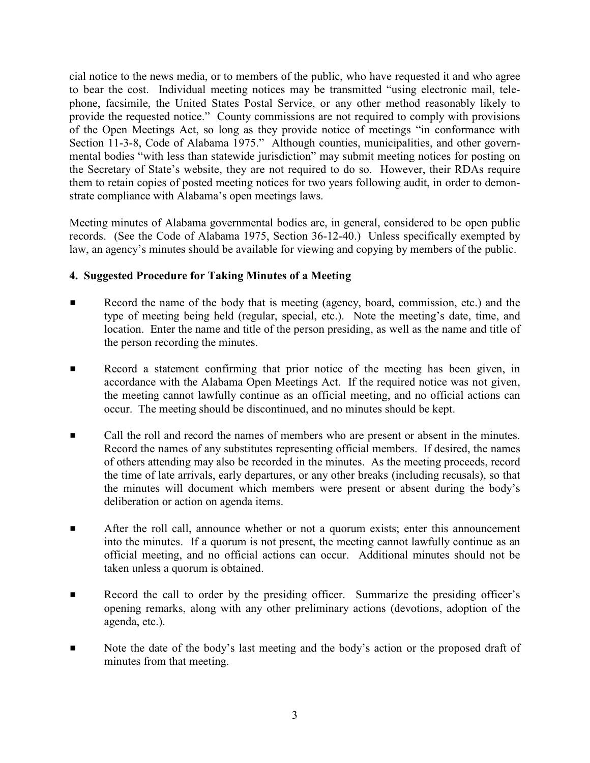cial notice to the news media, or to members of the public, who have requested it and who agree to bear the cost. Individual meeting notices may be transmitted "using electronic mail, telephone, facsimile, the United States Postal Service, or any other method reasonably likely to provide the requested notice." County commissions are not required to comply with provisions of the Open Meetings Act, so long as they provide notice of meetings "in conformance with Section 11-3-8, Code of Alabama 1975." Although counties, municipalities, and other governmental bodies "with less than statewide jurisdiction" may submit meeting notices for posting on the Secretary of State's website, they are not required to do so. However, their RDAs require them to retain copies of posted meeting notices for two years following audit, in order to demonstrate compliance with Alabama's open meetings laws.

Meeting minutes of Alabama governmental bodies are, in general, considered to be open public records. (See the Code of Alabama 1975, Section 36-12-40.) Unless specifically exempted by law, an agency's minutes should be available for viewing and copying by members of the public.

# **4. Suggested Procedure for Taking Minutes of a Meeting**

- **EXECORDER** Record the name of the body that is meeting (agency, board, commission, etc.) and the type of meeting being held (regular, special, etc.). Note the meeting's date, time, and location. Enter the name and title of the person presiding, as well as the name and title of the person recording the minutes.
- Record a statement confirming that prior notice of the meeting has been given, in accordance with the Alabama Open Meetings Act. If the required notice was not given, the meeting cannot lawfully continue as an official meeting, and no official actions can occur. The meeting should be discontinued, and no minutes should be kept.
- Call the roll and record the names of members who are present or absent in the minutes. Record the names of any substitutes representing official members. If desired, the names of others attending may also be recorded in the minutes. As the meeting proceeds, record the time of late arrivals, early departures, or any other breaks (including recusals), so that the minutes will document which members were present or absent during the body's deliberation or action on agenda items.
- **EXECUTE:** After the roll call, announce whether or not a quorum exists; enter this announcement into the minutes. If a quorum is not present, the meeting cannot lawfully continue as an official meeting, and no official actions can occur. Additional minutes should not be taken unless a quorum is obtained.
- **EXECORDER EXECORDER 1** Record the call to order by the presiding officer. Summarize the presiding officer's opening remarks, along with any other preliminary actions (devotions, adoption of the agenda, etc.).
- Note the date of the body's last meeting and the body's action or the proposed draft of minutes from that meeting.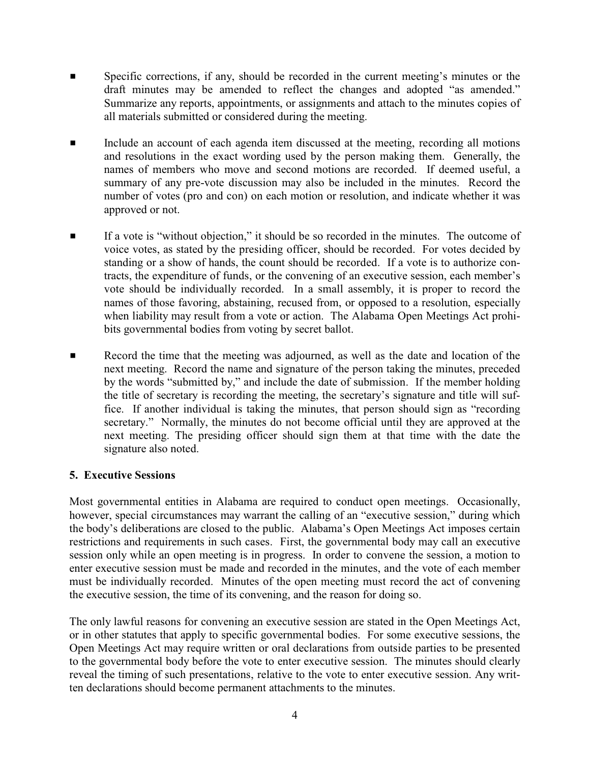- Specific corrections, if any, should be recorded in the current meeting's minutes or the draft minutes may be amended to reflect the changes and adopted "as amended." Summarize any reports, appointments, or assignments and attach to the minutes copies of all materials submitted or considered during the meeting.
- **Example 2** Include an account of each agenda item discussed at the meeting, recording all motions and resolutions in the exact wording used by the person making them. Generally, the names of members who move and second motions are recorded. If deemed useful, a summary of any pre-vote discussion may also be included in the minutes. Record the number of votes (pro and con) on each motion or resolution, and indicate whether it was approved or not.
- If a vote is "without objection," it should be so recorded in the minutes. The outcome of voice votes, as stated by the presiding officer, should be recorded. For votes decided by standing or a show of hands, the count should be recorded. If a vote is to authorize contracts, the expenditure of funds, or the convening of an executive session, each member's vote should be individually recorded. In a small assembly, it is proper to record the names of those favoring, abstaining, recused from, or opposed to a resolution, especially when liability may result from a vote or action. The Alabama Open Meetings Act prohibits governmental bodies from voting by secret ballot.
- **EXECORD F** Record the time that the meeting was adjourned, as well as the date and location of the next meeting. Record the name and signature of the person taking the minutes, preceded by the words "submitted by," and include the date of submission. If the member holding the title of secretary is recording the meeting, the secretary's signature and title will suffice. If another individual is taking the minutes, that person should sign as "recording secretary." Normally, the minutes do not become official until they are approved at the next meeting. The presiding officer should sign them at that time with the date the signature also noted.

# **5. Executive Sessions**

Most governmental entities in Alabama are required to conduct open meetings. Occasionally, however, special circumstances may warrant the calling of an "executive session," during which the body's deliberations are closed to the public. Alabama's Open Meetings Act imposes certain restrictions and requirements in such cases. First, the governmental body may call an executive session only while an open meeting is in progress. In order to convene the session, a motion to enter executive session must be made and recorded in the minutes, and the vote of each member must be individually recorded. Minutes of the open meeting must record the act of convening the executive session, the time of its convening, and the reason for doing so.

The only lawful reasons for convening an executive session are stated in the Open Meetings Act, or in other statutes that apply to specific governmental bodies. For some executive sessions, the Open Meetings Act may require written or oral declarations from outside parties to be presented to the governmental body before the vote to enter executive session. The minutes should clearly reveal the timing of such presentations, relative to the vote to enter executive session. Any written declarations should become permanent attachments to the minutes.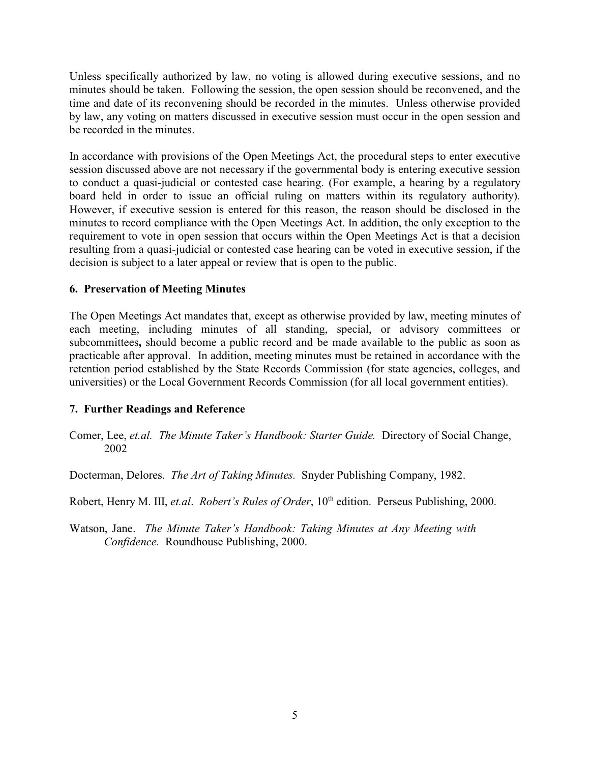Unless specifically authorized by law, no voting is allowed during executive sessions, and no minutes should be taken. Following the session, the open session should be reconvened, and the time and date of its reconvening should be recorded in the minutes. Unless otherwise provided by law, any voting on matters discussed in executive session must occur in the open session and be recorded in the minutes.

In accordance with provisions of the Open Meetings Act, the procedural steps to enter executive session discussed above are not necessary if the governmental body is entering executive session to conduct a quasi-judicial or contested case hearing. (For example, a hearing by a regulatory board held in order to issue an official ruling on matters within its regulatory authority). However, if executive session is entered for this reason, the reason should be disclosed in the minutes to record compliance with the Open Meetings Act. In addition, the only exception to the requirement to vote in open session that occurs within the Open Meetings Act is that a decision resulting from a quasi-judicial or contested case hearing can be voted in executive session, if the decision is subject to a later appeal or review that is open to the public.

#### **6. Preservation of Meeting Minutes**

The Open Meetings Act mandates that, except as otherwise provided by law, meeting minutes of each meeting, including minutes of all standing, special, or advisory committees or subcommittees**,** should become a public record and be made available to the public as soon as practicable after approval. In addition, meeting minutes must be retained in accordance with the retention period established by the State Records Commission (for state agencies, colleges, and universities) or the Local Government Records Commission (for all local government entities).

# **7. Further Readings and Reference**

Comer, Lee, *et.al. The Minute Taker's Handbook: Starter Guide.* Directory of Social Change, 2002

Docterman, Delores. *The Art of Taking Minutes.* Snyder Publishing Company, 1982.

Robert, Henry M. III, et.al. Robert's Rules of Order, 10<sup>th</sup> edition. Perseus Publishing, 2000.

Watson, Jane. *The Minute Taker's Handbook: Taking Minutes at Any Meeting with Confidence.* Roundhouse Publishing, 2000.